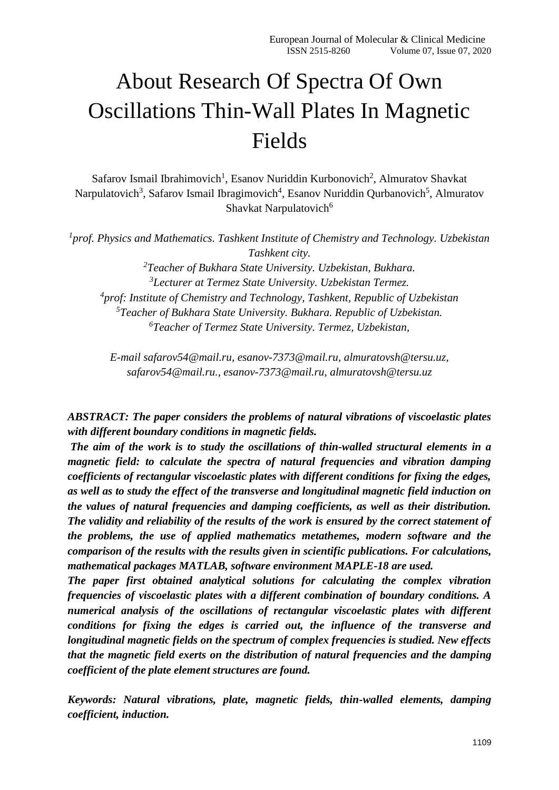# About Research Of Spectra Of Own Oscillations Thin-Wall Plates In Magnetic Fields

Safarov Ismail Ibrahimovich<sup>1</sup>, Esanov Nuriddin Kurbonovich<sup>2</sup>, Almuratov Shavkat Narpulatovich<sup>3</sup>, Safarov Ismail Ibragimovich<sup>4</sup>, Esanov Nuriddin Qurbanovich<sup>5</sup>, Almuratov Shavkat Narpulatovich<sup>6</sup>

<sup>1</sup> prof. Physics and Mathematics. Tashkent Institute of Chemistry and Technology. Uzbekistan *Tashkent city.*

*Teacher of Bukhara State University. Uzbekistan, Bukhara. Lecturer at Termez State University. Uzbekistan Termez. prof: Institute of Chemistry and Technology, Tashkent, Republic of Uzbekistan Teacher of Bukhara State University. Bukhara. Republic of Uzbekistan. Teacher of Termez State University. Termez, Uzbekistan,* 

*E-mail [safarov54@mail.ru,](mailto:safarov54@mail.ru) [esanov-7373@mail.ru,](mailto:esanov-7373@mail.ru) [almuratovsh@tersu.uz,](mailto:almuratovsh@tersu.uz) [safarov54@mail.ru.](mailto:safarov54@mail.ru), [esanov-7373@mail.ru,](mailto:esanov-7373@mail.ru) [almuratovsh@tersu.uz](mailto:almuratovsh@tersu.uz)*

*ABSTRACT: The paper considers the problems of natural vibrations of viscoelastic plates with different boundary conditions in magnetic fields.*

*The aim of the work is to study the oscillations of thin-walled structural elements in a magnetic field: to calculate the spectra of natural frequencies and vibration damping coefficients of rectangular viscoelastic plates with different conditions for fixing the edges, as well as to study the effect of the transverse and longitudinal magnetic field induction on the values of natural frequencies and damping coefficients, as well as their distribution. The validity and reliability of the results of the work is ensured by the correct statement of the problems, the use of applied mathematics metathemes, modern software and the comparison of the results with the results given in scientific publications. For calculations, mathematical packages MATLAB, software environment MAPLE-18 are used.*

*The paper first obtained analytical solutions for calculating the complex vibration frequencies of viscoelastic plates with a different combination of boundary conditions. A numerical analysis of the oscillations of rectangular viscoelastic plates with different conditions for fixing the edges is carried out, the influence of the transverse and longitudinal magnetic fields on the spectrum of complex frequencies is studied. New effects that the magnetic field exerts on the distribution of natural frequencies and the damping coefficient of the plate element structures are found.*

*Keywords: Natural vibrations, plate, magnetic fields, thin-walled elements, damping coefficient, induction.*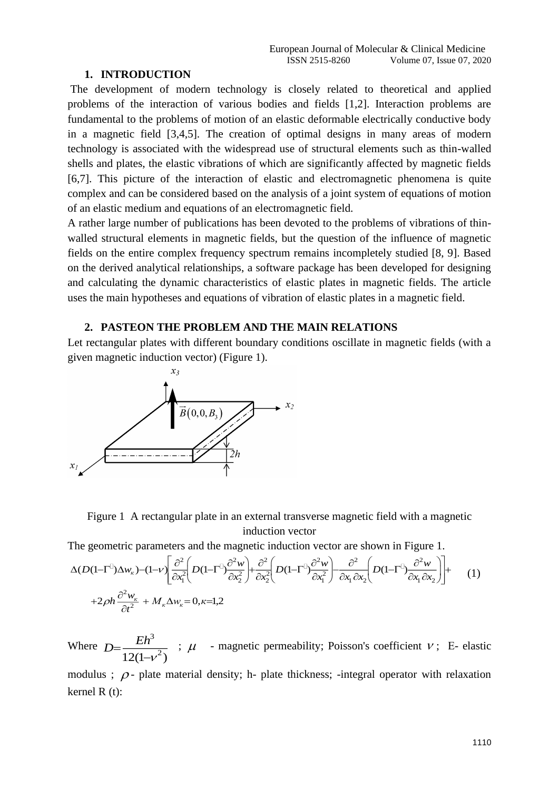#### **1. INTRODUCTION**

The development of modern technology is closely related to theoretical and applied problems of the interaction of various bodies and fields [1,2]. Interaction problems are fundamental to the problems of motion of an elastic deformable electrically conductive body in a magnetic field [3,4,5]. The creation of optimal designs in many areas of modern technology is associated with the widespread use of structural elements such as thin-walled shells and plates, the elastic vibrations of which are significantly affected by magnetic fields [6,7]. This picture of the interaction of elastic and electromagnetic phenomena is quite complex and can be considered based on the analysis of a joint system of equations of motion of an elastic medium and equations of an electromagnetic field.

A rather large number of publications has been devoted to the problems of vibrations of thinwalled structural elements in magnetic fields, but the question of the influence of magnetic fields on the entire complex frequency spectrum remains incompletely studied [8, 9]. Based on the derived analytical relationships, a software package has been developed for designing and calculating the dynamic characteristics of elastic plates in magnetic fields. The article uses the main hypotheses and equations of vibration of elastic plates in a magnetic field.

### **2. PASTEON THE PROBLEM AND THE MAIN RELATIONS**

Let rectangular plates with different boundary conditions oscillate in magnetic fields (with a given magnetic induction vector) (Figure 1).



Figure 1 A rectangular plate in an external transverse magnetic field with a magnetic induction vector

The geometric parameters and the magnetic induction vector are shown in Figure 1.

$$
\Delta(D(1-\Gamma^{IJ})\Delta w_{k})-(1-\nu)\left[\frac{\partial^{2}}{\partial x_{1}^{2}}\left(D(1-\Gamma^{IJ})\frac{\partial^{2}w}{\partial x_{2}^{2}}\right)+\frac{\partial^{2}}{\partial x_{2}^{2}}\left(D(1-\Gamma^{IJ})\frac{\partial^{2}w}{\partial x_{1}^{2}}\right)-\frac{\partial^{2}}{\partial x_{1}\partial x_{2}}\left(D(1-\Gamma^{IJ})\frac{\partial^{2}w}{\partial x_{1}\partial x_{2}}\right)\right]+\n+2\rho h\frac{\partial^{2}w_{k}}{\partial t^{2}}+M_{k}\Delta w_{k}=0,\kappa=1,2
$$
\n(1)

Where  $D = \frac{Eh^3}{2}$  $12(1-v^2)$ *Eh <sup>D</sup>* -ν  $=\frac{12(1-1)}{2}$  $\mu$  - magnetic permeability; Poisson's coefficient  $\nu$ ; E- elastic

modulus ;  $\rho$ - plate material density; h- plate thickness; -integral operator with relaxation kernel R (t):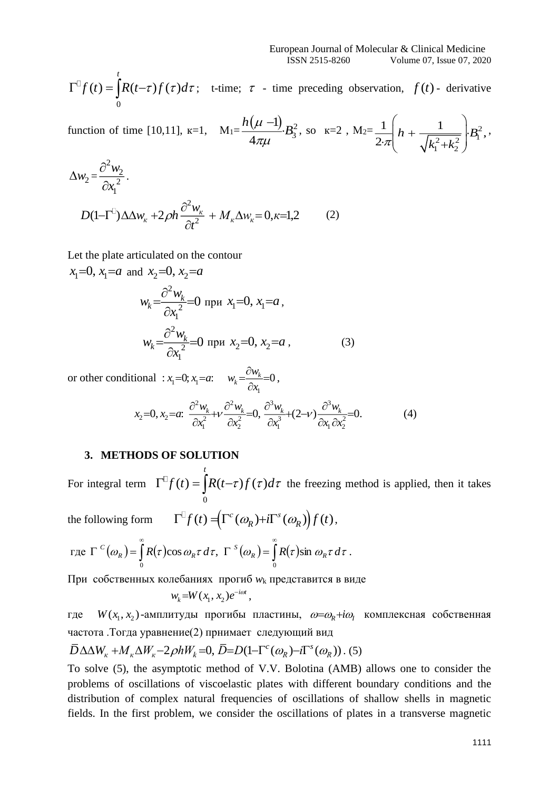$$
\Gamma^{\square} f(t) = \int_{0}^{t} R(t-\tau) f(\tau) d\tau;
$$
 t-time;  $\tau$  - time preceding observation,  $f(t)$  - derivative

function of time [10,11],  $k=1$ ,  $M_1 = \frac{h(\mu - 1)}{B_3^2}B_3^2$ 3 1 4 *h*  $\frac{\mu-1}{B}B$  $\pi\mu$  $\frac{(-1)}{2}B_3^2$ , so k=2, M<sub>2</sub>= $\frac{1}{2\pi}$   $h + \frac{1}{\sqrt{1^2+1^2}}$   $B_1^2$ 1  $\sim$  2 1 | 1  $2\pi$   $\left| \frac{1}{k^2 + k^2} \right|^{2}$  $h + \frac{1}{\sqrt{2}}$   $\cdot B$  $\mathcal{R}$   $\sqrt{k_1^2 + k_2^2}$  $\frac{1}{\sqrt{\pi}}\left(h+\frac{1}{\sqrt{1^2+1^2}}\right).$  $\pi\left(\begin{array}{cc} 1 & 1 \\ & \sqrt{k_1^2 + k_2^2} \end{array}\right)$ ,

$$
\Delta w_2 = \frac{\partial^2 w_2}{\partial x_1^2}.
$$
  

$$
D(1-\Gamma^2)\Delta \Delta w_{\kappa} + 2\rho h \frac{\partial^2 w_{\kappa}}{\partial t^2} + M_{\kappa} \Delta w_{\kappa} = 0, \kappa = 1,2
$$
 (2)

Let the plate articulated on the contour

$$
x_1=0, x_1=a
$$
 and  $x_2=0, x_2=a$   
\n
$$
w_k = \frac{\partial^2 w_k}{\partial x_1^2} = 0 \text{ при } x_1=0, x_1=a,
$$
\n
$$
w_k = \frac{\partial^2 w_k}{\partial x_1^2} = 0 \text{ при } x_2=0, x_2=a,
$$
\n(3)

or other conditional :  $x_1=0; x_1$ 1 0;  $x_1 = a$ :  $w_k = \frac{W_k}{2} = 0$  $x_i = 0; x_i = a;$   $w_i = \frac{cw}{a}$ *x*  $= 0; x_1 = a;$   $w_k = \frac{\partial w_k}{\partial x} = 0,$ 

$$
x_2 = 0, x_2 = a: \frac{\partial^2 w_k}{\partial x_1^2} + v \frac{\partial^2 w_k}{\partial x_2^2} = 0, \frac{\partial^3 w_k}{\partial x_1^3} + (2 - v) \frac{\partial^3 w_k}{\partial x_1 \partial x_2^2} = 0.
$$
 (4)

#### **3. METHODS OF SOLUTION**

For integral term  $\Gamma^{\perp} f(t) = |R(t-\tau) f(\tau)|$ 0 *t*  $\int_{0}^{T} f(t) = \int_{0}^{T} R(t-\tau) f(\tau) d\tau$  the freezing method is applied, then it takes

the following form  $\qquad \Gamma^{\square} f(t) = (\Gamma^c(\omega_R) + i \Gamma^s(\omega_R)) f(t),$ 

$$
\text{rate } \Gamma^{c}(\omega_R) = \int_0^{\infty} R(\tau) \cos \omega_R \tau \, d\tau, \ \Gamma^{s}(\omega_R) = \int_0^{\infty} R(\tau) \sin \omega_R \tau \, d\tau \, .
$$

При собственных колебаниях прогиб *w*<sup>k</sup> представится в виде

$$
w_k = W(x_1, x_2)e^{-i\omega t},
$$

где  $W(x_1, x_2)$ -амплитуды прогибы пластины,  $\omega = \omega_R + i\omega_I$  комплексная собственная частота .Тогда уравнение(2) прнимает следующий вид

$$
\overline{D}\Delta\Delta W_{k} + M_{k}\Delta W_{k} - 2\rho hW_{k} = 0, \,\overline{D} = D(1 - \Gamma^{c}(\omega_{R}) - i\Gamma^{s}(\omega_{R})). \,(5)
$$

To solve (5), the asymptotic method of V.V. Bolotina (AMB) allows one to consider the problems of oscillations of viscoelastic plates with different boundary conditions and the distribution of complex natural frequencies of oscillations of shallow shells in magnetic fields. In the first problem, we consider the oscillations of plates in a transverse magnetic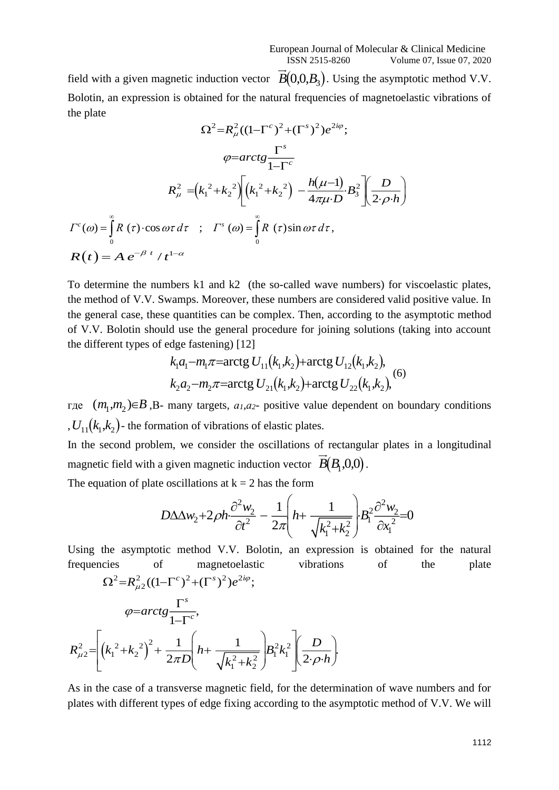field with a given magnetic induction vector  $B(0,0,B_3)$ . Using the asymptotic method V.V. Bolotin, an expression is obtained for the natural frequencies of magnetoelastic vibrations of the plate

$$
\Omega^{2} = R_{\mu}^{2}((1-\Gamma^{c})^{2} + (\Gamma^{s})^{2})e^{2i\varphi};
$$
\n
$$
\varphi = \arctg \frac{\Gamma^{s}}{1-\Gamma^{c}}
$$
\n
$$
R_{\mu}^{2} = (k_{1}^{2} + k_{2}^{2}) \left[ (k_{1}^{2} + k_{2}^{2}) - \frac{h(\mu-1)}{4\pi\mu \cdot D} B_{3}^{2} \right] \left[ \frac{D}{2 \cdot \rho \cdot h} \right]
$$
\n
$$
\Gamma^{c}(\omega) = \int_{0}^{\infty} R(\tau) \cdot \cos \omega \tau \, d\tau ; \quad \Gamma^{s}(\omega) = \int_{0}^{\infty} R(\tau) \sin \omega \tau \, d\tau,
$$
\n
$$
R(t) = A e^{-\beta t} / t^{1-\alpha}
$$

To determine the numbers k1 and k2 (the so-called wave numbers) for viscoelastic plates, the method of V.V. Swamps. Moreover, these numbers are considered valid positive value. In the general case, these quantities can be complex. Then, according to the asymptotic method of V.V. Bolotin should use the general procedure for joining solutions (taking into account the different types of edge fastening) [12]

$$
k_1a_1 - m_1\pi = \arctg U_{11}(k_1, k_2) + \arctg U_{12}(k_1, k_2),
$$
  
\n
$$
k_2a_2 - m_2\pi = \arctg U_{21}(k_1, k_2) + \arctg U_{22}(k_1, k_2),
$$
 (6)

где  $(m_1,m_2) \in B$ , B- many targets,  $a_1,a_2$ - positive value dependent on boundary conditions ,  $U_{11}(k_1,k_2)$  - the formation of vibrations of elastic plates.

In the second problem, we consider the oscillations of rectangular plates in a longitudinal magnetic field with a given magnetic induction vector  $B(B_1, 0, 0)$ .

The equation of plate oscillations at  $k = 2$  has the form

$$
D\Delta \Delta w_2 + 2\rho h \frac{\partial^2 w_2}{\partial t^2} - \frac{1}{2\pi} \left( h + \frac{1}{\sqrt{k_1^2 + k_2^2}} \right) B_1^2 \frac{\partial^2 w_2}{\partial x_1^2} = 0
$$

Using the asymptotic method V.V. Bolotin, an expression is obtained for the natural frequencies of magnetoelastic vibrations of the plate

$$
\Omega^{2} = R_{\mu_{2}}^{2}((1-\Gamma^{c})^{2}+(\Gamma^{s})^{2})e^{2i\varphi};
$$
\n
$$
\varphi = \arctg \frac{\Gamma^{s}}{1-\Gamma^{c}},
$$
\n
$$
R_{\mu_{2}}^{2} = \left[ \left(k_{1}^{2} + k_{2}^{2}\right)^{2} + \frac{1}{2\pi D} \left(h + \frac{1}{\sqrt{k_{1}^{2} + k_{2}^{2}}}\right) B_{1}^{2}k_{1}^{2} \left(\frac{D}{2 \cdot \rho \cdot h}\right) \right]
$$

As in the case of a transverse magnetic field, for the determination of wave numbers and for plates with different types of edge fixing according to the asymptotic method of V.V. We will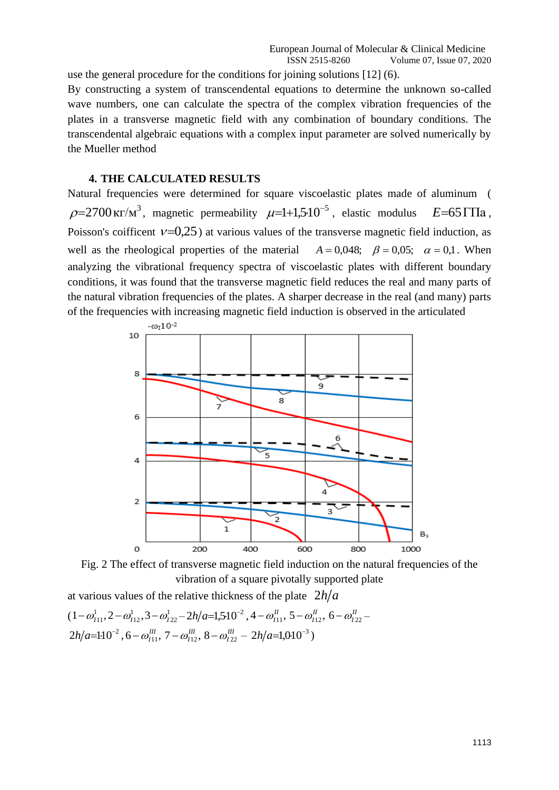use the general procedure for the conditions for joining solutions [12] (6). By constructing a system of transcendental equations to determine the unknown so-called wave numbers, one can calculate the spectra of the complex vibration frequencies of the plates in a transverse magnetic field with any combination of boundary conditions. The transcendental algebraic equations with a complex input parameter are solved numerically by the Mueller method

#### **4. THE CALCULATED RESULTS**

Natural frequencies were determined for square viscoelastic plates made of aluminum (  $\rho$ =2700 кг/м<sup>3</sup>, magnetic permeability  $\mu$ =1+1,5·10<sup>-5</sup>, elastic modulus  $E$ =65 ГПа, Poisson's coifficent  $v=0.25$ ) at various values of the transverse magnetic field induction, as well as the rheological properties of the material  $A = 0.048$ ;  $\beta = 0.05$ ;  $\alpha = 0.1$ . When analyzing the vibrational frequency spectra of viscoelastic plates with different boundary conditions, it was found that the transverse magnetic field reduces the real and many parts of the natural vibration frequencies of the plates. A sharper decrease in the real (and many) parts of the frequencies with increasing magnetic field induction is observed in the articulated



Fig. 2 The effect of transverse magnetic field induction on the natural frequencies of the vibration of a square pivotally supported plate

at various values of the relative thickness of the plate  $2h/a$  $(1 - \omega_{11}^1, 2 - \omega_{112}^1, 3 - \omega_{122}^1 - 2h/a = 1,510^{-2}, 4 - \omega_{111}^1, 5 - \omega_{112}^1, 6 - \omega_{122}^1 2h/a=110^{-2}$  ,  $6-\omega_{111}^H$ ,  $7-\omega_{112}^H$ ,  $8-\omega_{122}^H-2h/a=1,010^{-3}$  )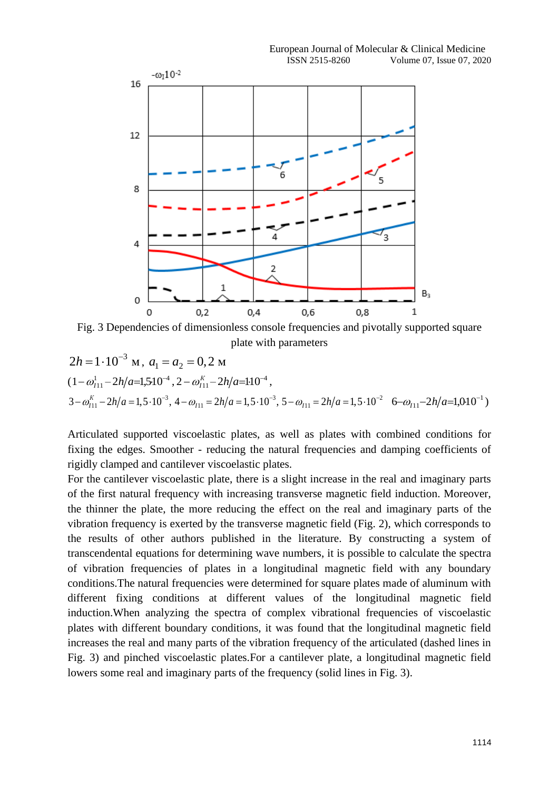

Fig. 3 Dependencies of dimensionless console frequencies and pivotally supported square plate with parameters

$$
2h = 1 \cdot 10^{-3} \text{ M}, a_1 = a_2 = 0, 2 \text{ M}
$$
  

$$
(1 - \omega_{111}^1 - 2h/a = 1, 5 \cdot 10^{-4}, 2 - \omega_{111}^K - 2h/a = 1 \cdot 10^{-4},
$$
  

$$
3 - \omega_{111}^K - 2h/a = 1, 5 \cdot 10^{-3}, 4 - \omega_{111} = 2h/a = 1, 5 \cdot 10^{-3}, 5 - \omega_{111} = 2h/a = 1, 5 \cdot 10^{-2} \quad 6 - \omega_{111} - 2h/a = 1,010^{-1})
$$

Articulated supported viscoelastic plates, as well as plates with combined conditions for fixing the edges. Smoother - reducing the natural frequencies and damping coefficients of rigidly clamped and cantilever viscoelastic plates.

For the cantilever viscoelastic plate, there is a slight increase in the real and imaginary parts of the first natural frequency with increasing transverse magnetic field induction. Moreover, the thinner the plate, the more reducing the effect on the real and imaginary parts of the vibration frequency is exerted by the transverse magnetic field (Fig. 2), which corresponds to the results of other authors published in the literature. By constructing a system of transcendental equations for determining wave numbers, it is possible to calculate the spectra of vibration frequencies of plates in a longitudinal magnetic field with any boundary conditions.The natural frequencies were determined for square plates made of aluminum with different fixing conditions at different values of the longitudinal magnetic field induction.When analyzing the spectra of complex vibrational frequencies of viscoelastic plates with different boundary conditions, it was found that the longitudinal magnetic field increases the real and many parts of the vibration frequency of the articulated (dashed lines in Fig. 3) and pinched viscoelastic plates.For a cantilever plate, a longitudinal magnetic field lowers some real and imaginary parts of the frequency (solid lines in Fig. 3).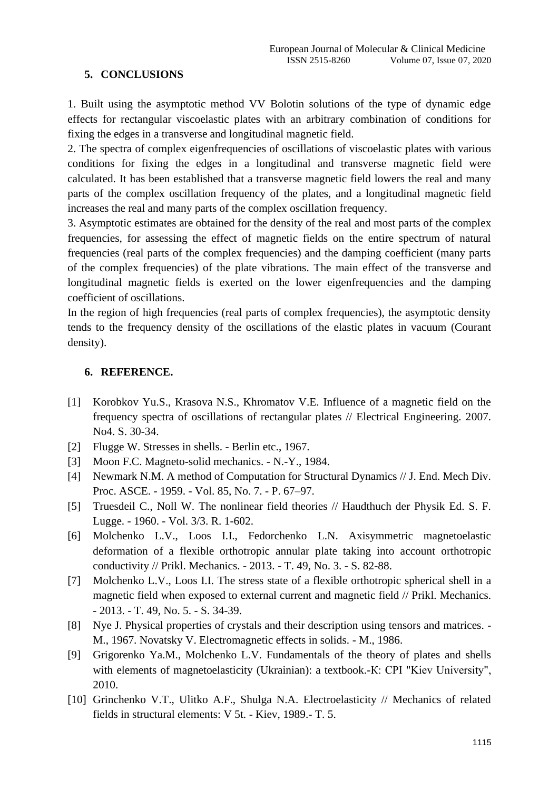# **5. CONCLUSIONS**

1. Built using the asymptotic method VV Bolotin solutions of the type of dynamic edge effects for rectangular viscoelastic plates with an arbitrary combination of conditions for fixing the edges in a transverse and longitudinal magnetic field.

2. The spectra of complex eigenfrequencies of oscillations of viscoelastic plates with various conditions for fixing the edges in a longitudinal and transverse magnetic field were calculated. It has been established that a transverse magnetic field lowers the real and many parts of the complex oscillation frequency of the plates, and a longitudinal magnetic field increases the real and many parts of the complex oscillation frequency.

3. Asymptotic estimates are obtained for the density of the real and most parts of the complex frequencies, for assessing the effect of magnetic fields on the entire spectrum of natural frequencies (real parts of the complex frequencies) and the damping coefficient (many parts of the complex frequencies) of the plate vibrations. The main effect of the transverse and longitudinal magnetic fields is exerted on the lower eigenfrequencies and the damping coefficient of oscillations.

In the region of high frequencies (real parts of complex frequencies), the asymptotic density tends to the frequency density of the oscillations of the elastic plates in vacuum (Courant density).

## **6. REFERENCE.**

- [1] Korobkov Yu.S., Krasova N.S., Khromatov V.E. Influence of a magnetic field on the frequency spectra of oscillations of rectangular plates // Electrical Engineering. 2007. No4. S. 30-34.
- [2] Flugge W. Stresses in shells. Berlin etc., 1967.
- [3] Moon F.C. Magneto-solid mechanics. N.-Y., 1984.
- [4] Newmark N.M. A method of Computation for Structural Dynamics // J. End. Mech Div. Proc. ASCE. - 1959. - Vol. 85, No. 7. - P. 67–97.
- [5] Truesdeil C., Noll W. The nonlinear field theories // Haudthuch der Physik Ed. S. F. Lugge. - 1960. - Vol. 3/3. R. 1-602.
- [6] Molchenko L.V., Loos I.I., Fedorchenko L.N. Axisymmetric magnetoelastic deformation of a flexible orthotropic annular plate taking into account orthotropic conductivity // Prikl. Mechanics. - 2013. - T. 49, No. 3. - S. 82-88.
- [7] Molchenko L.V., Loos I.I. The stress state of a flexible orthotropic spherical shell in a magnetic field when exposed to external current and magnetic field // Prikl. Mechanics. - 2013. - T. 49, No. 5. - S. 34-39.
- [8] Nye J. Physical properties of crystals and their description using tensors and matrices. M., 1967. Novatsky V. Electromagnetic effects in solids. - M., 1986.
- [9] Grigorenko Ya.M., Molchenko L.V. Fundamentals of the theory of plates and shells with elements of magnetoelasticity (Ukrainian): a textbook.-K: CPI "Kiev University", 2010.
- [10] Grinchenko V.T., Ulitko A.F., Shulga N.A. Electroelasticity // Mechanics of related fields in structural elements: V 5t. - Kiev, 1989.- T. 5.